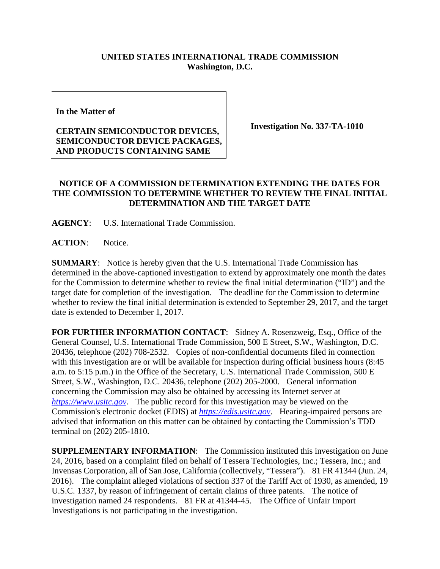## **UNITED STATES INTERNATIONAL TRADE COMMISSION Washington, D.C.**

**In the Matter of** 

## **CERTAIN SEMICONDUCTOR DEVICES, SEMICONDUCTOR DEVICE PACKAGES, AND PRODUCTS CONTAINING SAME**

**Investigation No. 337-TA-1010**

## **NOTICE OF A COMMISSION DETERMINATION EXTENDING THE DATES FOR THE COMMISSION TO DETERMINE WHETHER TO REVIEW THE FINAL INITIAL DETERMINATION AND THE TARGET DATE**

**AGENCY**: U.S. International Trade Commission.

**ACTION**: Notice.

**SUMMARY**: Notice is hereby given that the U.S. International Trade Commission has determined in the above-captioned investigation to extend by approximately one month the dates for the Commission to determine whether to review the final initial determination ("ID") and the target date for completion of the investigation. The deadline for the Commission to determine whether to review the final initial determination is extended to September 29, 2017, and the target date is extended to December 1, 2017.

**FOR FURTHER INFORMATION CONTACT**: Sidney A. Rosenzweig, Esq., Office of the General Counsel, U.S. International Trade Commission, 500 E Street, S.W., Washington, D.C. 20436, telephone (202) 708-2532. Copies of non-confidential documents filed in connection with this investigation are or will be available for inspection during official business hours (8:45) a.m. to 5:15 p.m.) in the Office of the Secretary, U.S. International Trade Commission, 500 E Street, S.W., Washington, D.C. 20436, telephone (202) 205-2000. General information concerning the Commission may also be obtained by accessing its Internet server at *[https://www.usitc.gov](https://www.usitc.gov/)*. The public record for this investigation may be viewed on the Commission's electronic docket (EDIS) at *[https://edis.usitc.gov](https://edis.usitc.gov/)*. Hearing-impaired persons are advised that information on this matter can be obtained by contacting the Commission's TDD terminal on (202) 205-1810.

**SUPPLEMENTARY INFORMATION**: The Commission instituted this investigation on June 24, 2016, based on a complaint filed on behalf of Tessera Technologies, Inc.; Tessera, Inc.; and Invensas Corporation, all of San Jose, California (collectively, "Tessera"). 81 FR 41344 (Jun. 24, 2016). The complaint alleged violations of section 337 of the Tariff Act of 1930, as amended, 19 U.S.C. 1337, by reason of infringement of certain claims of three patents. The notice of investigation named 24 respondents. 81 FR at 41344-45. The Office of Unfair Import Investigations is not participating in the investigation.